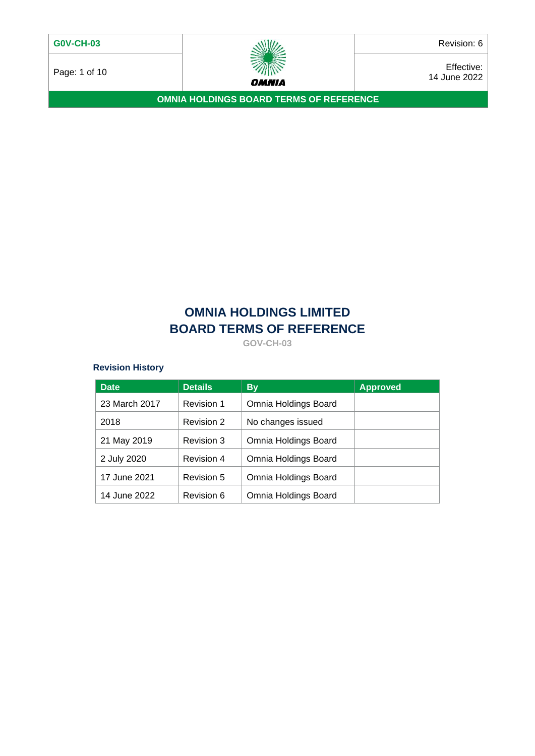

Page: 1 of 10  $\overbrace{\smash{\mathcal{W}\hspace{0.3cm}}^{m}}^{m}\qquad \qquad \overbrace{\smash{\mathcal{W}\hspace{0.3cm}}^{m}}^{m}\qquad \qquad \overbrace{\smash{\mathcal{W}\hspace{0.3cm}}^{m}}^{m}\qquad \qquad \overbrace{\smash{\mathcal{W}\hspace{0.3cm}}^{m}}^{m}\qquad \qquad \overbrace{\smash{\mathcal{W}\hspace{0.3cm}}^{m}}^{m}\qquad \qquad \overbrace{\smash{\mathcal{W}\hspace{0.3cm}}^{m}}^{m}\qquad \qquad \overbrace{\smash{\mathcal{W}\hspace{0.3cm}}$ 14 June 2022

**OMNIA HOLDINGS BOARD TERMS OF REFERENCE**

# **OMNIA HOLDINGS LIMITED BOARD TERMS OF REFERENCE**

**GOV-CH-03**

# **Revision History**

| <b>Date</b>   | <b>Details</b> | <b>By</b>            | <b>Approved</b> |
|---------------|----------------|----------------------|-----------------|
| 23 March 2017 | Revision 1     | Omnia Holdings Board |                 |
| 2018          | Revision 2     | No changes issued    |                 |
| 21 May 2019   | Revision 3     | Omnia Holdings Board |                 |
| 2 July 2020   | Revision 4     | Omnia Holdings Board |                 |
| 17 June 2021  | Revision 5     | Omnia Holdings Board |                 |
| 14 June 2022  | Revision 6     | Omnia Holdings Board |                 |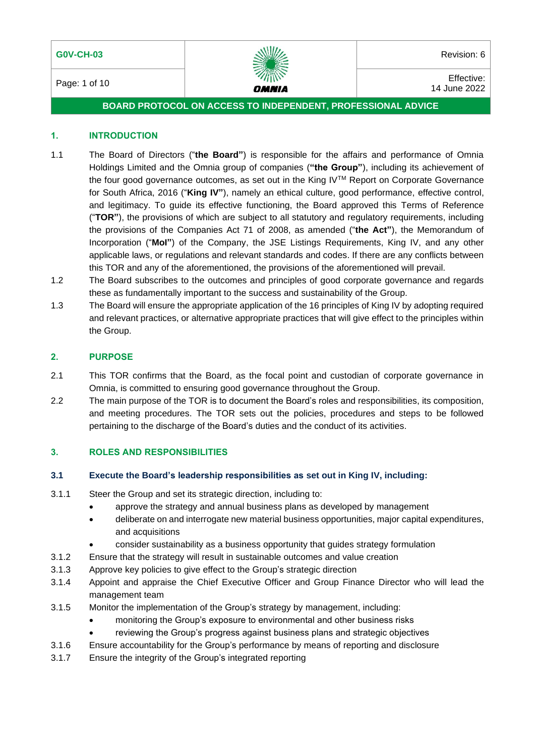

Page: 1 of 10 **Effective:**  $\frac{d}{dx}$  **Page:** 1 of 10 **Effective:** 14 June 2022

# **BOARD PROTOCOL ON ACCESS TO INDEPENDENT, PROFESSIONAL ADVICE**

#### **1. INTRODUCTION**

- 1.1 The Board of Directors ("**the Board"**) is responsible for the affairs and performance of Omnia Holdings Limited and the Omnia group of companies (**"the Group"**), including its achievement of the four good governance outcomes, as set out in the King IVTM Report on Corporate Governance for South Africa, 2016 ("**King IV"**), namely an ethical culture, good performance, effective control, and legitimacy. To guide its effective functioning, the Board approved this Terms of Reference ("**TOR"**), the provisions of which are subject to all statutory and regulatory requirements, including the provisions of the Companies Act 71 of 2008, as amended ("**the Act"**), the Memorandum of Incorporation ("**MoI"**) of the Company, the JSE Listings Requirements, King IV, and any other applicable laws, or regulations and relevant standards and codes. If there are any conflicts between this TOR and any of the aforementioned, the provisions of the aforementioned will prevail.
- 1.2 The Board subscribes to the outcomes and principles of good corporate governance and regards these as fundamentally important to the success and sustainability of the Group.
- 1.3 The Board will ensure the appropriate application of the 16 principles of King IV by adopting required and relevant practices, or alternative appropriate practices that will give effect to the principles within the Group.

# **2. PURPOSE**

- 2.1 This TOR confirms that the Board, as the focal point and custodian of corporate governance in Omnia, is committed to ensuring good governance throughout the Group.
- 2.2 The main purpose of the TOR is to document the Board's roles and responsibilities, its composition, and meeting procedures. The TOR sets out the policies, procedures and steps to be followed pertaining to the discharge of the Board's duties and the conduct of its activities.

#### **3. ROLES AND RESPONSIBILITIES**

#### **3.1 Execute the Board's leadership responsibilities as set out in King IV, including:**

- 3.1.1 Steer the Group and set its strategic direction, including to:
	- approve the strategy and annual business plans as developed by management
	- deliberate on and interrogate new material business opportunities, major capital expenditures, and acquisitions
	- consider sustainability as a business opportunity that guides strategy formulation
- 3.1.2 Ensure that the strategy will result in sustainable outcomes and value creation
- 3.1.3 Approve key policies to give effect to the Group's strategic direction
- 3.1.4 Appoint and appraise the Chief Executive Officer and Group Finance Director who will lead the management team
- 3.1.5 Monitor the implementation of the Group's strategy by management, including:
	- monitoring the Group's exposure to environmental and other business risks
		- reviewing the Group's progress against business plans and strategic objectives
- 3.1.6 Ensure accountability for the Group's performance by means of reporting and disclosure
- 3.1.7 Ensure the integrity of the Group's integrated reporting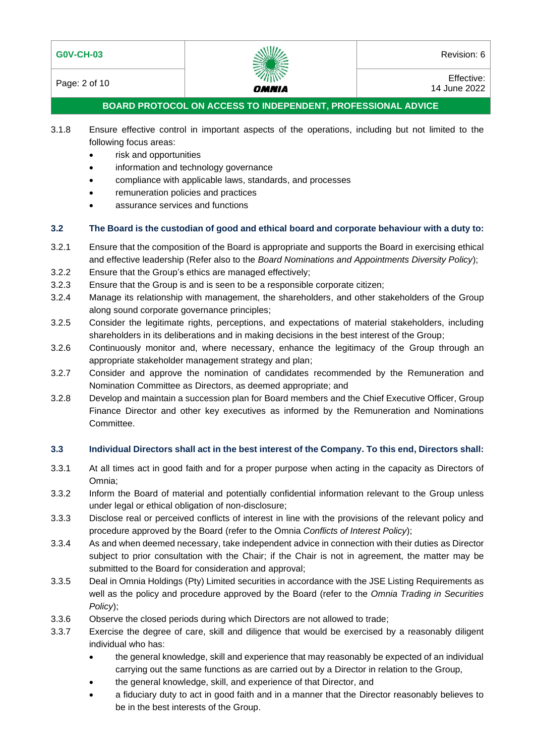| <b>G0V-CH-03</b> | WW | Revision: 6 |
|------------------|----|-------------|
|                  |    |             |



Page: 2 of 10 **Effective:**  $\frac{200}{200}$  Effective: 14 June 2022

# **BOARD PROTOCOL ON ACCESS TO INDEPENDENT, PROFESSIONAL ADVICE**

- 3.1.8 Ensure effective control in important aspects of the operations, including but not limited to the following focus areas:
	- risk and opportunities
	- information and technology governance
	- compliance with applicable laws, standards, and processes
	- remuneration policies and practices
	- assurance services and functions

# **3.2 The Board is the custodian of good and ethical board and corporate behaviour with a duty to:**

- 3.2.1 Ensure that the composition of the Board is appropriate and supports the Board in exercising ethical and effective leadership (Refer also to the *Board Nominations and Appointments Diversity Policy*);
- 3.2.2 Ensure that the Group's ethics are managed effectively;
- 3.2.3 Ensure that the Group is and is seen to be a responsible corporate citizen;
- 3.2.4 Manage its relationship with management, the shareholders, and other stakeholders of the Group along sound corporate governance principles;
- 3.2.5 Consider the legitimate rights, perceptions, and expectations of material stakeholders, including shareholders in its deliberations and in making decisions in the best interest of the Group;
- 3.2.6 Continuously monitor and, where necessary, enhance the legitimacy of the Group through an appropriate stakeholder management strategy and plan;
- 3.2.7 Consider and approve the nomination of candidates recommended by the Remuneration and Nomination Committee as Directors, as deemed appropriate; and
- 3.2.8 Develop and maintain a succession plan for Board members and the Chief Executive Officer, Group Finance Director and other key executives as informed by the Remuneration and Nominations Committee.

# **3.3 Individual Directors shall act in the best interest of the Company. To this end, Directors shall:**

- 3.3.1 At all times act in good faith and for a proper purpose when acting in the capacity as Directors of Omnia;
- 3.3.2 Inform the Board of material and potentially confidential information relevant to the Group unless under legal or ethical obligation of non-disclosure;
- 3.3.3 Disclose real or perceived conflicts of interest in line with the provisions of the relevant policy and procedure approved by the Board (refer to the Omnia *Conflicts of Interest Policy*);
- 3.3.4 As and when deemed necessary, take independent advice in connection with their duties as Director subject to prior consultation with the Chair; if the Chair is not in agreement, the matter may be submitted to the Board for consideration and approval;
- 3.3.5 Deal in Omnia Holdings (Pty) Limited securities in accordance with the JSE Listing Requirements as well as the policy and procedure approved by the Board (refer to the *Omnia Trading in Securities Policy*);
- 3.3.6 Observe the closed periods during which Directors are not allowed to trade;
- 3.3.7 Exercise the degree of care, skill and diligence that would be exercised by a reasonably diligent individual who has:
	- the general knowledge, skill and experience that may reasonably be expected of an individual carrying out the same functions as are carried out by a Director in relation to the Group,
	- the general knowledge, skill, and experience of that Director, and
	- a fiduciary duty to act in good faith and in a manner that the Director reasonably believes to be in the best interests of the Group.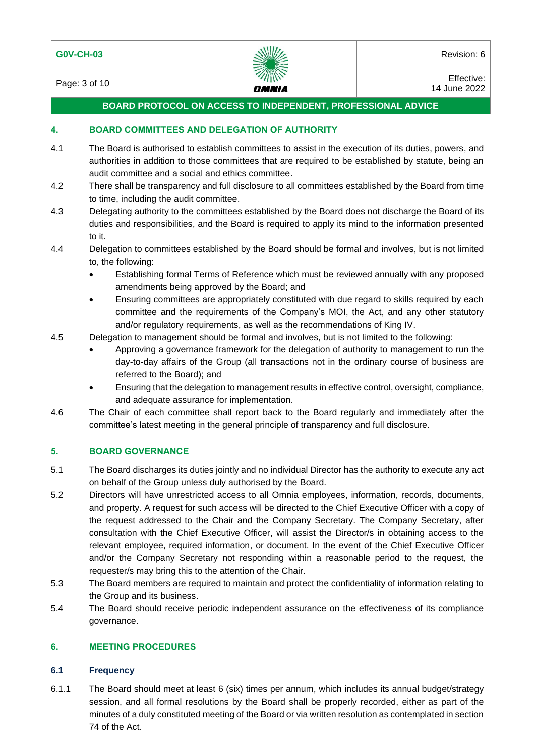

Page: 3 of 10 **Effective:**  $\frac{20}{2}$  Effective: 14 June 2022

# **BOARD PROTOCOL ON ACCESS TO INDEPENDENT, PROFESSIONAL ADVICE**

#### **4. BOARD COMMITTEES AND DELEGATION OF AUTHORITY**

- 4.1 The Board is authorised to establish committees to assist in the execution of its duties, powers, and authorities in addition to those committees that are required to be established by statute, being an audit committee and a social and ethics committee.
- 4.2 There shall be transparency and full disclosure to all committees established by the Board from time to time, including the audit committee.
- 4.3 Delegating authority to the committees established by the Board does not discharge the Board of its duties and responsibilities, and the Board is required to apply its mind to the information presented to it.
- 4.4 Delegation to committees established by the Board should be formal and involves, but is not limited to, the following:
	- Establishing formal Terms of Reference which must be reviewed annually with any proposed amendments being approved by the Board; and
	- Ensuring committees are appropriately constituted with due regard to skills required by each committee and the requirements of the Company's MOI, the Act, and any other statutory and/or regulatory requirements, as well as the recommendations of King IV.
- 4.5 Delegation to management should be formal and involves, but is not limited to the following:
	- Approving a governance framework for the delegation of authority to management to run the day-to-day affairs of the Group (all transactions not in the ordinary course of business are referred to the Board); and
	- Ensuring that the delegation to management results in effective control, oversight, compliance, and adequate assurance for implementation.
- 4.6 The Chair of each committee shall report back to the Board regularly and immediately after the committee's latest meeting in the general principle of transparency and full disclosure.

# **5. BOARD GOVERNANCE**

- 5.1 The Board discharges its duties jointly and no individual Director has the authority to execute any act on behalf of the Group unless duly authorised by the Board.
- 5.2 Directors will have unrestricted access to all Omnia employees, information, records, documents, and property. A request for such access will be directed to the Chief Executive Officer with a copy of the request addressed to the Chair and the Company Secretary. The Company Secretary, after consultation with the Chief Executive Officer, will assist the Director/s in obtaining access to the relevant employee, required information, or document. In the event of the Chief Executive Officer and/or the Company Secretary not responding within a reasonable period to the request, the requester/s may bring this to the attention of the Chair.
- 5.3 The Board members are required to maintain and protect the confidentiality of information relating to the Group and its business.
- 5.4 The Board should receive periodic independent assurance on the effectiveness of its compliance governance.

#### **6. MEETING PROCEDURES**

#### **6.1 Frequency**

6.1.1 The Board should meet at least 6 (six) times per annum, which includes its annual budget/strategy session, and all formal resolutions by the Board shall be properly recorded, either as part of the minutes of a duly constituted meeting of the Board or via written resolution as contemplated in section 74 of the Act.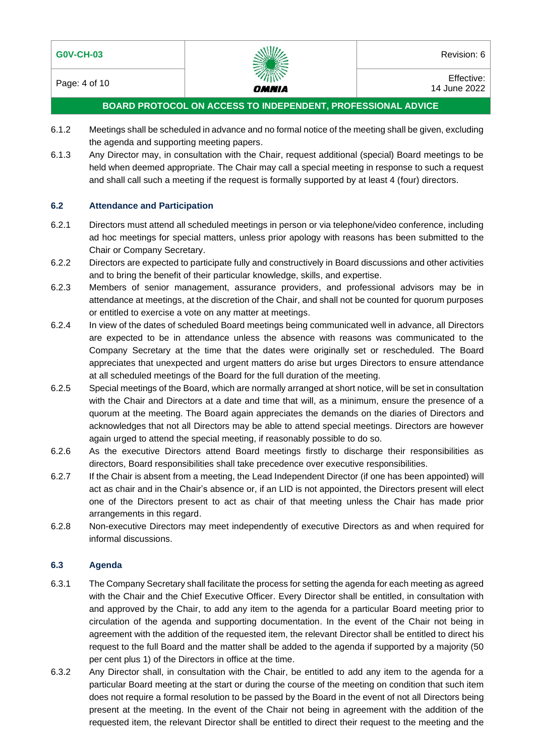

Page: 4 of 10 **Effective:**  $\frac{2}{100}$  Effective: 14 June 2022

# **BOARD PROTOCOL ON ACCESS TO INDEPENDENT, PROFESSIONAL ADVICE**

- 6.1.2 Meetings shall be scheduled in advance and no formal notice of the meeting shall be given, excluding the agenda and supporting meeting papers.
- 6.1.3 Any Director may, in consultation with the Chair, request additional (special) Board meetings to be held when deemed appropriate. The Chair may call a special meeting in response to such a request and shall call such a meeting if the request is formally supported by at least 4 (four) directors.

#### **6.2 Attendance and Participation**

- 6.2.1 Directors must attend all scheduled meetings in person or via telephone/video conference, including ad hoc meetings for special matters, unless prior apology with reasons has been submitted to the Chair or Company Secretary.
- 6.2.2 Directors are expected to participate fully and constructively in Board discussions and other activities and to bring the benefit of their particular knowledge, skills, and expertise.
- 6.2.3 Members of senior management, assurance providers, and professional advisors may be in attendance at meetings, at the discretion of the Chair, and shall not be counted for quorum purposes or entitled to exercise a vote on any matter at meetings.
- 6.2.4 In view of the dates of scheduled Board meetings being communicated well in advance, all Directors are expected to be in attendance unless the absence with reasons was communicated to the Company Secretary at the time that the dates were originally set or rescheduled. The Board appreciates that unexpected and urgent matters do arise but urges Directors to ensure attendance at all scheduled meetings of the Board for the full duration of the meeting.
- 6.2.5 Special meetings of the Board, which are normally arranged at short notice, will be set in consultation with the Chair and Directors at a date and time that will, as a minimum, ensure the presence of a quorum at the meeting. The Board again appreciates the demands on the diaries of Directors and acknowledges that not all Directors may be able to attend special meetings. Directors are however again urged to attend the special meeting, if reasonably possible to do so.
- 6.2.6 As the executive Directors attend Board meetings firstly to discharge their responsibilities as directors, Board responsibilities shall take precedence over executive responsibilities.
- 6.2.7 If the Chair is absent from a meeting, the Lead Independent Director (if one has been appointed) will act as chair and in the Chair's absence or, if an LID is not appointed, the Directors present will elect one of the Directors present to act as chair of that meeting unless the Chair has made prior arrangements in this regard.
- 6.2.8 Non-executive Directors may meet independently of executive Directors as and when required for informal discussions.

#### **6.3 Agenda**

- 6.3.1 The Company Secretary shall facilitate the process for setting the agenda for each meeting as agreed with the Chair and the Chief Executive Officer. Every Director shall be entitled, in consultation with and approved by the Chair, to add any item to the agenda for a particular Board meeting prior to circulation of the agenda and supporting documentation. In the event of the Chair not being in agreement with the addition of the requested item, the relevant Director shall be entitled to direct his request to the full Board and the matter shall be added to the agenda if supported by a majority (50 per cent plus 1) of the Directors in office at the time.
- 6.3.2 Any Director shall, in consultation with the Chair, be entitled to add any item to the agenda for a particular Board meeting at the start or during the course of the meeting on condition that such item does not require a formal resolution to be passed by the Board in the event of not all Directors being present at the meeting. In the event of the Chair not being in agreement with the addition of the requested item, the relevant Director shall be entitled to direct their request to the meeting and the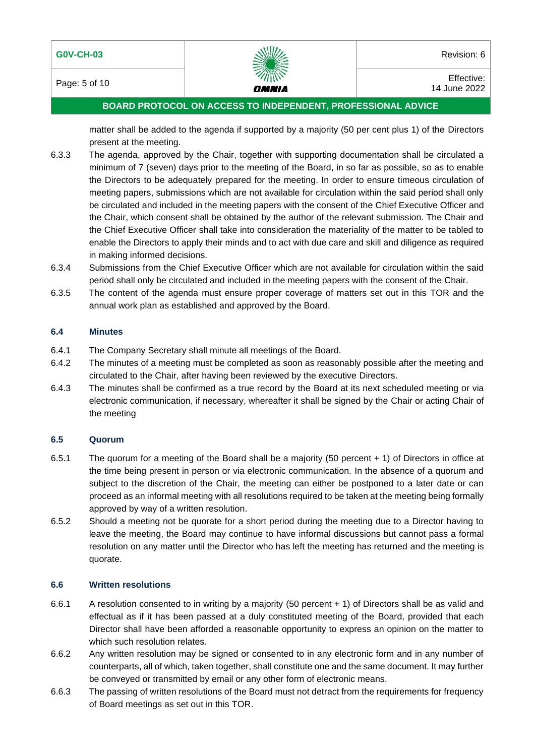

Page: 5 of 10 **Effective:**  $\frac{20}{2}$  Effective: 14 June 2022

# **BOARD PROTOCOL ON ACCESS TO INDEPENDENT, PROFESSIONAL ADVICE**

matter shall be added to the agenda if supported by a majority (50 per cent plus 1) of the Directors present at the meeting.

- 6.3.3 The agenda, approved by the Chair, together with supporting documentation shall be circulated a minimum of 7 (seven) days prior to the meeting of the Board, in so far as possible, so as to enable the Directors to be adequately prepared for the meeting. In order to ensure timeous circulation of meeting papers, submissions which are not available for circulation within the said period shall only be circulated and included in the meeting papers with the consent of the Chief Executive Officer and the Chair, which consent shall be obtained by the author of the relevant submission. The Chair and the Chief Executive Officer shall take into consideration the materiality of the matter to be tabled to enable the Directors to apply their minds and to act with due care and skill and diligence as required in making informed decisions.
- 6.3.4 Submissions from the Chief Executive Officer which are not available for circulation within the said period shall only be circulated and included in the meeting papers with the consent of the Chair.
- 6.3.5 The content of the agenda must ensure proper coverage of matters set out in this TOR and the annual work plan as established and approved by the Board.

#### **6.4 Minutes**

- 6.4.1 The Company Secretary shall minute all meetings of the Board.
- 6.4.2 The minutes of a meeting must be completed as soon as reasonably possible after the meeting and circulated to the Chair, after having been reviewed by the executive Directors.
- 6.4.3 The minutes shall be confirmed as a true record by the Board at its next scheduled meeting or via electronic communication, if necessary, whereafter it shall be signed by the Chair or acting Chair of the meeting

# **6.5 Quorum**

- 6.5.1 The quorum for a meeting of the Board shall be a majority (50 percent + 1) of Directors in office at the time being present in person or via electronic communication. In the absence of a quorum and subject to the discretion of the Chair, the meeting can either be postponed to a later date or can proceed as an informal meeting with all resolutions required to be taken at the meeting being formally approved by way of a written resolution.
- 6.5.2 Should a meeting not be quorate for a short period during the meeting due to a Director having to leave the meeting, the Board may continue to have informal discussions but cannot pass a formal resolution on any matter until the Director who has left the meeting has returned and the meeting is quorate.

# **6.6 Written resolutions**

- 6.6.1 A resolution consented to in writing by a majority (50 percent + 1) of Directors shall be as valid and effectual as if it has been passed at a duly constituted meeting of the Board, provided that each Director shall have been afforded a reasonable opportunity to express an opinion on the matter to which such resolution relates.
- 6.6.2 Any written resolution may be signed or consented to in any electronic form and in any number of counterparts, all of which, taken together, shall constitute one and the same document. It may further be conveyed or transmitted by email or any other form of electronic means.
- 6.6.3 The passing of written resolutions of the Board must not detract from the requirements for frequency of Board meetings as set out in this TOR.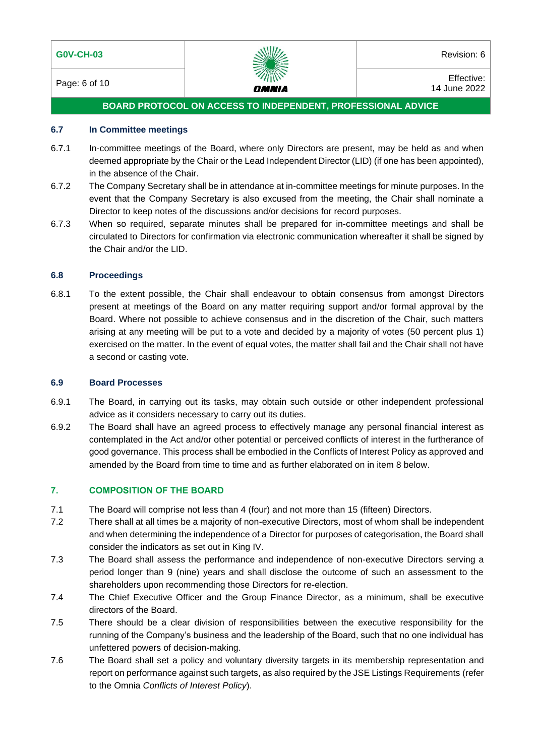

Page: 6 of 10 **Effective:**  $\frac{20}{2}$  Effective: 14 June 2022

# **BOARD PROTOCOL ON ACCESS TO INDEPENDENT, PROFESSIONAL ADVICE**

#### **6.7 In Committee meetings**

- 6.7.1 In-committee meetings of the Board, where only Directors are present, may be held as and when deemed appropriate by the Chair or the Lead Independent Director (LID) (if one has been appointed), in the absence of the Chair.
- 6.7.2 The Company Secretary shall be in attendance at in-committee meetings for minute purposes. In the event that the Company Secretary is also excused from the meeting, the Chair shall nominate a Director to keep notes of the discussions and/or decisions for record purposes.
- 6.7.3 When so required, separate minutes shall be prepared for in-committee meetings and shall be circulated to Directors for confirmation via electronic communication whereafter it shall be signed by the Chair and/or the LID.

#### **6.8 Proceedings**

6.8.1 To the extent possible, the Chair shall endeavour to obtain consensus from amongst Directors present at meetings of the Board on any matter requiring support and/or formal approval by the Board. Where not possible to achieve consensus and in the discretion of the Chair, such matters arising at any meeting will be put to a vote and decided by a majority of votes (50 percent plus 1) exercised on the matter. In the event of equal votes, the matter shall fail and the Chair shall not have a second or casting vote.

#### **6.9 Board Processes**

- 6.9.1 The Board, in carrying out its tasks, may obtain such outside or other independent professional advice as it considers necessary to carry out its duties.
- 6.9.2 The Board shall have an agreed process to effectively manage any personal financial interest as contemplated in the Act and/or other potential or perceived conflicts of interest in the furtherance of good governance. This process shall be embodied in the Conflicts of Interest Policy as approved and amended by the Board from time to time and as further elaborated on in item 8 below.

#### **7. COMPOSITION OF THE BOARD**

- 7.1 The Board will comprise not less than 4 (four) and not more than 15 (fifteen) Directors.
- 7.2 There shall at all times be a majority of non-executive Directors, most of whom shall be independent and when determining the independence of a Director for purposes of categorisation, the Board shall consider the indicators as set out in King IV.
- 7.3 The Board shall assess the performance and independence of non-executive Directors serving a period longer than 9 (nine) years and shall disclose the outcome of such an assessment to the shareholders upon recommending those Directors for re-election.
- 7.4 The Chief Executive Officer and the Group Finance Director, as a minimum, shall be executive directors of the Board.
- 7.5 There should be a clear division of responsibilities between the executive responsibility for the running of the Company's business and the leadership of the Board, such that no one individual has unfettered powers of decision-making.
- 7.6 The Board shall set a policy and voluntary diversity targets in its membership representation and report on performance against such targets, as also required by the JSE Listings Requirements (refer to the Omnia *Conflicts of Interest Policy*).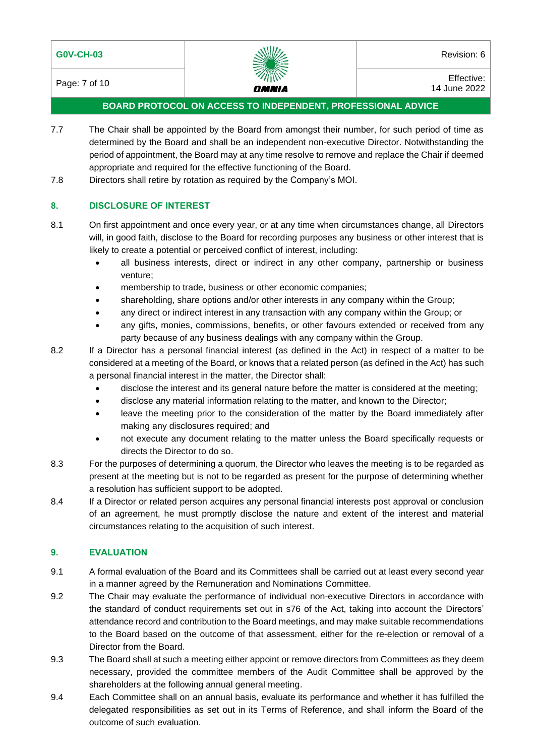

Page: 7 of 10 **Effective:**  $\frac{d}{dx}$   $\frac{d}{dx}$   $\frac{d}{dx}$   $\frac{d}{dx}$   $\frac{d}{dx}$   $\frac{d}{dx}$   $\frac{d}{dx}$   $\frac{d}{dx}$   $\frac{d}{dx}$   $\frac{d}{dx}$   $\frac{d}{dx}$   $\frac{d}{dx}$   $\frac{d}{dx}$   $\frac{d}{dx}$   $\frac{d}{dx}$   $\frac{d}{dx}$   $\frac{d}{dx}$   $\frac{d}{dx}$   $\frac{d}{dx}$   $\frac{$ 14 June 2022

# **BOARD PROTOCOL ON ACCESS TO INDEPENDENT, PROFESSIONAL ADVICE**

- 7.7 The Chair shall be appointed by the Board from amongst their number, for such period of time as determined by the Board and shall be an independent non-executive Director. Notwithstanding the period of appointment, the Board may at any time resolve to remove and replace the Chair if deemed appropriate and required for the effective functioning of the Board.
- 7.8 Directors shall retire by rotation as required by the Company's MOI.

# **8. DISCLOSURE OF INTEREST**

- 8.1 On first appointment and once every year, or at any time when circumstances change, all Directors will, in good faith, disclose to the Board for recording purposes any business or other interest that is likely to create a potential or perceived conflict of interest, including:
	- all business interests, direct or indirect in any other company, partnership or business venture;
	- membership to trade, business or other economic companies;
	- shareholding, share options and/or other interests in any company within the Group;
	- any direct or indirect interest in any transaction with any company within the Group; or
	- any gifts, monies, commissions, benefits, or other favours extended or received from any party because of any business dealings with any company within the Group.
- 8.2 If a Director has a personal financial interest (as defined in the Act) in respect of a matter to be considered at a meeting of the Board, or knows that a related person (as defined in the Act) has such a personal financial interest in the matter, the Director shall:
	- disclose the interest and its general nature before the matter is considered at the meeting;
	- disclose any material information relating to the matter, and known to the Director;
	- leave the meeting prior to the consideration of the matter by the Board immediately after making any disclosures required; and
	- not execute any document relating to the matter unless the Board specifically requests or directs the Director to do so.
- 8.3 For the purposes of determining a quorum, the Director who leaves the meeting is to be regarded as present at the meeting but is not to be regarded as present for the purpose of determining whether a resolution has sufficient support to be adopted.
- 8.4 If a Director or related person acquires any personal financial interests post approval or conclusion of an agreement, he must promptly disclose the nature and extent of the interest and material circumstances relating to the acquisition of such interest.

#### **9. EVALUATION**

- 9.1 A formal evaluation of the Board and its Committees shall be carried out at least every second year in a manner agreed by the Remuneration and Nominations Committee.
- 9.2 The Chair may evaluate the performance of individual non-executive Directors in accordance with the standard of conduct requirements set out in s76 of the Act, taking into account the Directors' attendance record and contribution to the Board meetings, and may make suitable recommendations to the Board based on the outcome of that assessment, either for the re-election or removal of a Director from the Board.
- 9.3 The Board shall at such a meeting either appoint or remove directors from Committees as they deem necessary, provided the committee members of the Audit Committee shall be approved by the shareholders at the following annual general meeting.
- 9.4 Each Committee shall on an annual basis, evaluate its performance and whether it has fulfilled the delegated responsibilities as set out in its Terms of Reference, and shall inform the Board of the outcome of such evaluation.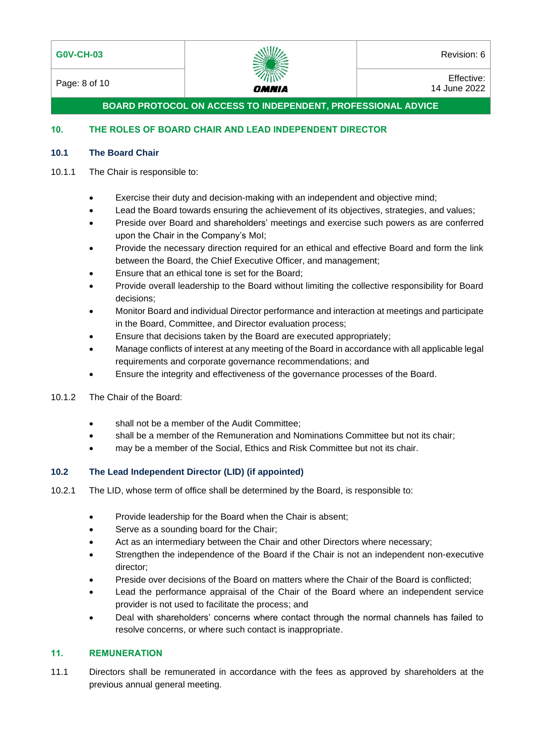# **G0V-CH-03** Revision: 6



Page: 8 of 10 **Effective:**  $\frac{2}{100}$  Effective: 14 June 2022

**BOARD PROTOCOL ON ACCESS TO INDEPENDENT, PROFESSIONAL ADVICE**

# **10. THE ROLES OF BOARD CHAIR AND LEAD INDEPENDENT DIRECTOR**

#### **10.1 The Board Chair**

#### 10.1.1 The Chair is responsible to:

- Exercise their duty and decision-making with an independent and objective mind;
- Lead the Board towards ensuring the achievement of its objectives, strategies, and values;
- Preside over Board and shareholders' meetings and exercise such powers as are conferred upon the Chair in the Company's MoI;
- Provide the necessary direction required for an ethical and effective Board and form the link between the Board, the Chief Executive Officer, and management;
- Ensure that an ethical tone is set for the Board;
- Provide overall leadership to the Board without limiting the collective responsibility for Board decisions;
- Monitor Board and individual Director performance and interaction at meetings and participate in the Board, Committee, and Director evaluation process;
- Ensure that decisions taken by the Board are executed appropriately;
- Manage conflicts of interest at any meeting of the Board in accordance with all applicable legal requirements and corporate governance recommendations; and
- Ensure the integrity and effectiveness of the governance processes of the Board.
- 10.1.2 The Chair of the Board:
	- shall not be a member of the Audit Committee;
	- shall be a member of the Remuneration and Nominations Committee but not its chair;
	- may be a member of the Social, Ethics and Risk Committee but not its chair.

# **10.2 The Lead Independent Director (LID) (if appointed)**

- 10.2.1 The LID, whose term of office shall be determined by the Board, is responsible to:
	- Provide leadership for the Board when the Chair is absent;
	- Serve as a sounding board for the Chair;
	- Act as an intermediary between the Chair and other Directors where necessary;
	- Strengthen the independence of the Board if the Chair is not an independent non-executive director;
	- Preside over decisions of the Board on matters where the Chair of the Board is conflicted;
	- Lead the performance appraisal of the Chair of the Board where an independent service provider is not used to facilitate the process; and
	- Deal with shareholders' concerns where contact through the normal channels has failed to resolve concerns, or where such contact is inappropriate.

# **11. REMUNERATION**

11.1 Directors shall be remunerated in accordance with the fees as approved by shareholders at the previous annual general meeting.